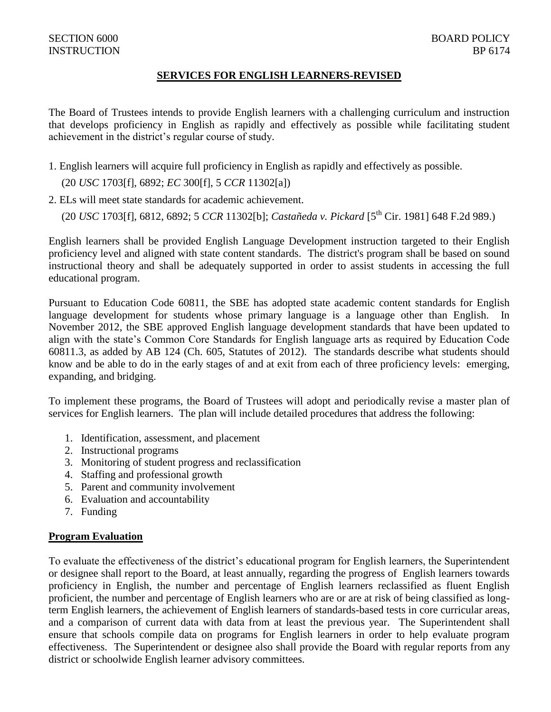# **SERVICES FOR ENGLISH LEARNERS-REVISED**

The Board of Trustees intends to provide English learners with a challenging curriculum and instruction that develops proficiency in English as rapidly and effectively as possible while facilitating student achievement in the district's regular course of study.

1. English learners will acquire full proficiency in English as rapidly and effectively as possible.

(20 *USC* 1703[f], 6892; *EC* 300[f], 5 *CCR* 11302[a])

2. ELs will meet state standards for academic achievement.

(20 *USC* 1703[f], 6812, 6892; 5 *CCR* 11302[b]; *Castañeda v. Pickard* [5th Cir. 1981] 648 F.2d 989.)

English learners shall be provided English Language Development instruction targeted to their English proficiency level and aligned with state content standards. The district's program shall be based on sound instructional theory and shall be adequately supported in order to assist students in accessing the full educational program.

Pursuant to Education Code 60811, the SBE has adopted state academic content standards for English language development for students whose primary language is a language other than English. In November 2012, the SBE approved English language development standards that have been updated to align with the state's Common Core Standards for English language arts as required by Education Code 60811.3, as added by AB 124 (Ch. 605, Statutes of 2012). The standards describe what students should know and be able to do in the early stages of and at exit from each of three proficiency levels: emerging, expanding, and bridging.

To implement these programs, the Board of Trustees will adopt and periodically revise a master plan of services for English learners. The plan will include detailed procedures that address the following:

- 1. Identification, assessment, and placement
- 2. Instructional programs
- 3. Monitoring of student progress and reclassification
- 4. Staffing and professional growth
- 5. Parent and community involvement
- 6. Evaluation and accountability
- 7. Funding

# **Program Evaluation**

To evaluate the effectiveness of the district's educational program for English learners, the Superintendent or designee shall report to the Board, at least annually, regarding the progress of English learners towards proficiency in English, the number and percentage of English learners reclassified as fluent English proficient, the number and percentage of English learners who are or are at risk of being classified as longterm English learners, the achievement of English learners of standards-based tests in core curricular areas, and a comparison of current data with data from at least the previous year. The Superintendent shall ensure that schools compile data on programs for English learners in order to help evaluate program effectiveness. The Superintendent or designee also shall provide the Board with regular reports from any district or schoolwide English learner advisory committees.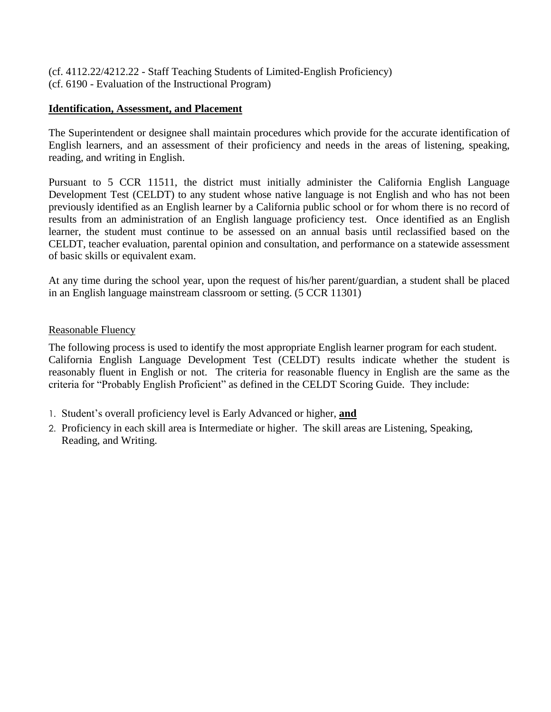(cf. 4112.22/4212.22 - Staff Teaching Students of Limited-English Proficiency) (cf. 6190 - Evaluation of the Instructional Program)

# **Identification, Assessment, and Placement**

The Superintendent or designee shall maintain procedures which provide for the accurate identification of English learners, and an assessment of their proficiency and needs in the areas of listening, speaking, reading, and writing in English.

Pursuant to 5 CCR 11511, the district must initially administer the California English Language Development Test (CELDT) to any student whose native language is not English and who has not been previously identified as an English learner by a California public school or for whom there is no record of results from an administration of an English language proficiency test. Once identified as an English learner, the student must continue to be assessed on an annual basis until reclassified based on the CELDT, teacher evaluation, parental opinion and consultation, and performance on a statewide assessment of basic skills or equivalent exam.

At any time during the school year, upon the request of his/her parent/guardian, a student shall be placed in an English language mainstream classroom or setting. (5 CCR 11301)

# Reasonable Fluency

The following process is used to identify the most appropriate English learner program for each student. California English Language Development Test (CELDT) results indicate whether the student is reasonably fluent in English or not. The criteria for reasonable fluency in English are the same as the criteria for "Probably English Proficient" as defined in the CELDT Scoring Guide. They include:

- 1. Student's overall proficiency level is Early Advanced or higher, **and**
- 2. Proficiency in each skill area is Intermediate or higher. The skill areas are Listening, Speaking, Reading, and Writing.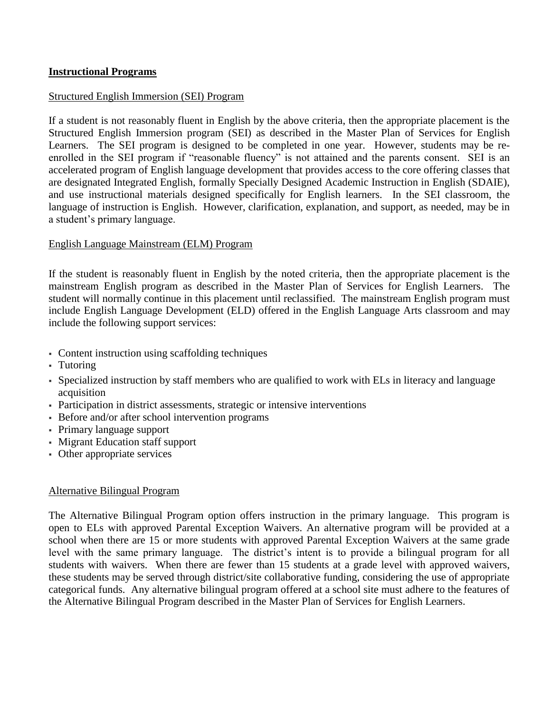# **Instructional Programs**

#### Structured English Immersion (SEI) Program

If a student is not reasonably fluent in English by the above criteria, then the appropriate placement is the Structured English Immersion program (SEI) as described in the Master Plan of Services for English Learners. The SEI program is designed to be completed in one year. However, students may be reenrolled in the SEI program if "reasonable fluency" is not attained and the parents consent. SEI is an accelerated program of English language development that provides access to the core offering classes that are designated Integrated English, formally Specially Designed Academic Instruction in English (SDAIE), and use instructional materials designed specifically for English learners. In the SEI classroom, the language of instruction is English. However, clarification, explanation, and support, as needed, may be in a student's primary language.

#### English Language Mainstream (ELM) Program

If the student is reasonably fluent in English by the noted criteria, then the appropriate placement is the mainstream English program as described in the Master Plan of Services for English Learners. The student will normally continue in this placement until reclassified. The mainstream English program must include English Language Development (ELD) offered in the English Language Arts classroom and may include the following support services:

- Content instruction using scaffolding techniques
- Tutoring
- Specialized instruction by staff members who are qualified to work with ELs in literacy and language acquisition
- Participation in district assessments, strategic or intensive interventions
- Before and/or after school intervention programs
- Primary language support
- Migrant Education staff support
- Other appropriate services

#### Alternative Bilingual Program

The Alternative Bilingual Program option offers instruction in the primary language. This program is open to ELs with approved Parental Exception Waivers. An alternative program will be provided at a school when there are 15 or more students with approved Parental Exception Waivers at the same grade level with the same primary language. The district's intent is to provide a bilingual program for all students with waivers. When there are fewer than 15 students at a grade level with approved waivers, these students may be served through district/site collaborative funding, considering the use of appropriate categorical funds. Any alternative bilingual program offered at a school site must adhere to the features of the Alternative Bilingual Program described in the Master Plan of Services for English Learners.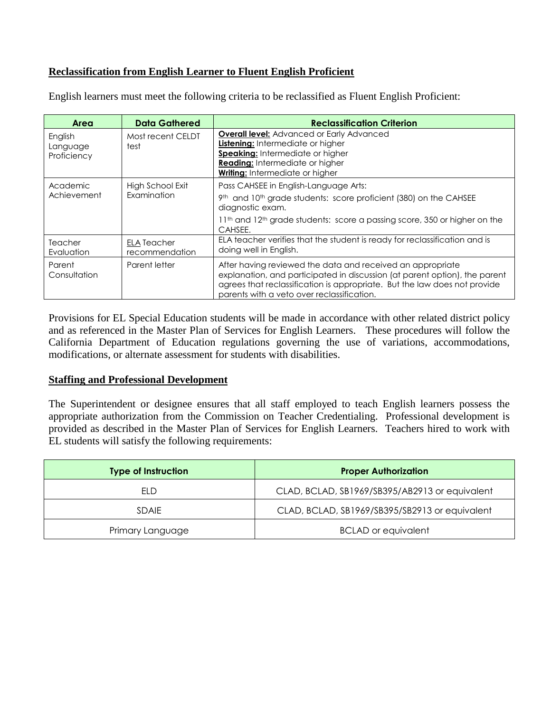# **Reclassification from English Learner to Fluent English Proficient**

| Area                               | <b>Data Gathered</b>                 | <b>Reclassification Criterion</b>                                                                                                                                                                                                                                   |
|------------------------------------|--------------------------------------|---------------------------------------------------------------------------------------------------------------------------------------------------------------------------------------------------------------------------------------------------------------------|
| English<br>Language<br>Proficiency | Most recent CELDT<br>test            | <b>Overall level:</b> Advanced or Early Advanced<br>Listening: Intermediate or higher<br>Speaking: Intermediate or higher<br><b>Reading:</b> Intermediate or higher<br><b>Writing:</b> Intermediate or higher                                                       |
| Academic<br>Achievement            | High School Exit<br>Examination      | Pass CAHSEE in English-Language Arts:<br>9th and 10th grade students: score proficient (380) on the CAHSEE<br>diagnostic exam.<br>11 <sup>th</sup> and 12 <sup>th</sup> grade students: score a passing score, 350 or higher on the<br>CAHSEE.                      |
| Teacher<br>Evaluation              | <b>ELA Teacher</b><br>recommendation | ELA teacher verifies that the student is ready for reclassification and is<br>doing well in English.                                                                                                                                                                |
| Parent<br>Consultation             | Parent letter                        | After having reviewed the data and received an appropriate<br>explanation, and participated in discussion (at parent option), the parent<br>agrees that reclassification is appropriate. But the law does not provide<br>parents with a veto over reclassification. |

English learners must meet the following criteria to be reclassified as Fluent English Proficient:

Provisions for EL Special Education students will be made in accordance with other related district policy and as referenced in the Master Plan of Services for English Learners. These procedures will follow the California Department of Education regulations governing the use of variations, accommodations, modifications, or alternate assessment for students with disabilities.

# **Staffing and Professional Development**

The Superintendent or designee ensures that all staff employed to teach English learners possess the appropriate authorization from the Commission on Teacher Credentialing. Professional development is provided as described in the Master Plan of Services for English Learners. Teachers hired to work with EL students will satisfy the following requirements:

| <b>Type of Instruction</b> | <b>Proper Authorization</b>                    |
|----------------------------|------------------------------------------------|
| ELD                        | CLAD, BCLAD, SB1969/SB395/AB2913 or equivalent |
| <b>SDAIF</b>               | CLAD, BCLAD, SB1969/SB395/SB2913 or equivalent |
| Primary Language           | <b>BCLAD</b> or equivalent                     |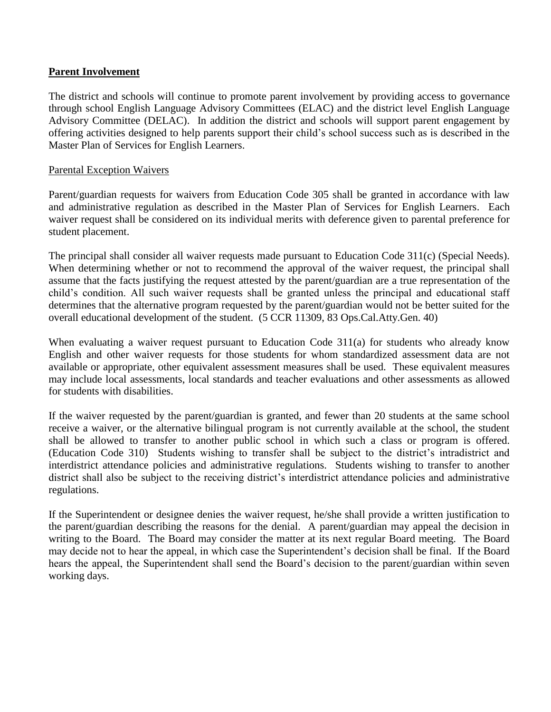# **Parent Involvement**

The district and schools will continue to promote parent involvement by providing access to governance through school English Language Advisory Committees (ELAC) and the district level English Language Advisory Committee (DELAC). In addition the district and schools will support parent engagement by offering activities designed to help parents support their child's school success such as is described in the Master Plan of Services for English Learners.

# Parental Exception Waivers

Parent/guardian requests for waivers from Education Code 305 shall be granted in accordance with law and administrative regulation as described in the Master Plan of Services for English Learners. Each waiver request shall be considered on its individual merits with deference given to parental preference for student placement.

The principal shall consider all waiver requests made pursuant to Education Code 311(c) (Special Needs). When determining whether or not to recommend the approval of the waiver request, the principal shall assume that the facts justifying the request attested by the parent/guardian are a true representation of the child's condition. All such waiver requests shall be granted unless the principal and educational staff determines that the alternative program requested by the parent/guardian would not be better suited for the overall educational development of the student. (5 CCR 11309, 83 Ops.Cal.Atty.Gen. 40)

When evaluating a waiver request pursuant to Education Code 311(a) for students who already know English and other waiver requests for those students for whom standardized assessment data are not available or appropriate, other equivalent assessment measures shall be used. These equivalent measures may include local assessments, local standards and teacher evaluations and other assessments as allowed for students with disabilities.

If the waiver requested by the parent/guardian is granted, and fewer than 20 students at the same school receive a waiver, or the alternative bilingual program is not currently available at the school, the student shall be allowed to transfer to another public school in which such a class or program is offered. (Education Code 310) Students wishing to transfer shall be subject to the district's intradistrict and interdistrict attendance policies and administrative regulations. Students wishing to transfer to another district shall also be subject to the receiving district's interdistrict attendance policies and administrative regulations.

If the Superintendent or designee denies the waiver request, he/she shall provide a written justification to the parent/guardian describing the reasons for the denial. A parent/guardian may appeal the decision in writing to the Board. The Board may consider the matter at its next regular Board meeting. The Board may decide not to hear the appeal, in which case the Superintendent's decision shall be final. If the Board hears the appeal, the Superintendent shall send the Board's decision to the parent/guardian within seven working days.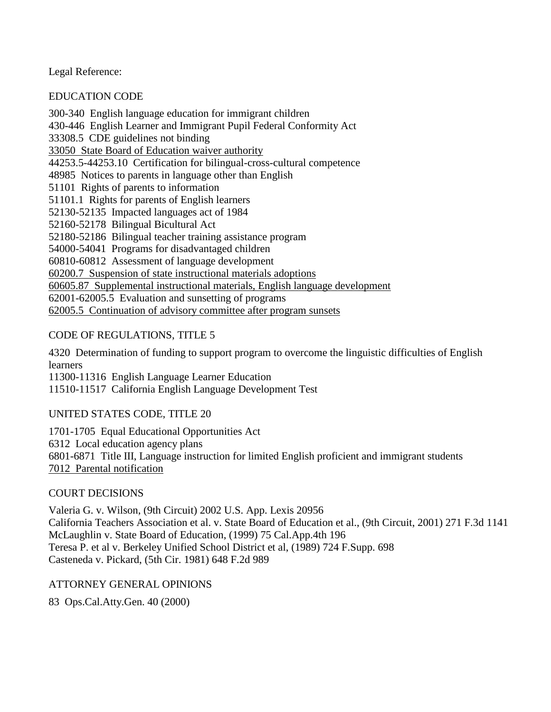Legal Reference:

EDUCATION CODE

300-340 English language education for immigrant children 430-446 English Learner and Immigrant Pupil Federal Conformity Act 33308.5 CDE guidelines not binding 33050 State Board of Education waiver authority 44253.5-44253.10 Certification for bilingual-cross-cultural competence 48985 Notices to parents in language other than English 51101 Rights of parents to information 51101.1 Rights for parents of English learners 52130-52135 Impacted languages act of 1984 52160-52178 Bilingual Bicultural Act 52180-52186 Bilingual teacher training assistance program 54000-54041 Programs for disadvantaged children 60810-60812 Assessment of language development 60200.7 Suspension of state instructional materials adoptions 60605.87 Supplemental instructional materials, English language development 62001-62005.5 Evaluation and sunsetting of programs 62005.5 Continuation of advisory committee after program sunsets

# CODE OF REGULATIONS, TITLE 5

4320 Determination of funding to support program to overcome the linguistic difficulties of English learners

11300-11316 English Language Learner Education

11510-11517 California English Language Development Test

# UNITED STATES CODE, TITLE 20

1701-1705 Equal Educational Opportunities Act 6312 Local education agency plans 6801-6871 Title III, Language instruction for limited English proficient and immigrant students 7012 Parental notification

# COURT DECISIONS

Valeria G. v. Wilson, (9th Circuit) 2002 U.S. App. Lexis 20956 California Teachers Association et al. v. State Board of Education et al., (9th Circuit, 2001) 271 F.3d 1141 McLaughlin v. State Board of Education, (1999) 75 Cal.App.4th 196 Teresa P. et al v. Berkeley Unified School District et al, (1989) 724 F.Supp. 698 Casteneda v. Pickard, (5th Cir. 1981) 648 F.2d 989

ATTORNEY GENERAL OPINIONS

83 Ops.Cal.Atty.Gen. 40 (2000)